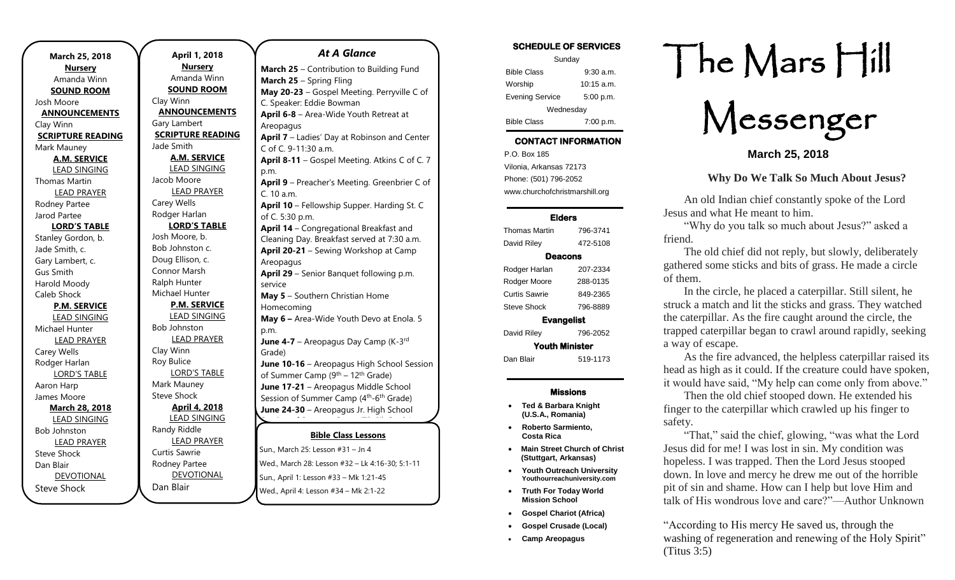| March 25, 2018           | April 1, 2018            |                |
|--------------------------|--------------------------|----------------|
| <b>Nursery</b>           | <b>Nursery</b>           | March          |
| Amanda Winn              | Amanda Winn              | March          |
| <b>SOUND ROOM</b>        | <b>SOUND ROOM</b>        | May 2          |
| Josh Moore               | Clay Winn                | C. Spea        |
| <b>ANNOUNCEMENTS</b>     | <b>ANNOUNCEMENTS</b>     | April 6        |
| Clay Winn                | Gary Lambert             | Areopa         |
| <b>SCRIPTURE READING</b> | <b>SCRIPTURE READING</b> | <b>April 7</b> |
| Mark Mauney              | Jade Smith               | C of C.        |
| <b>A.M. SERVICE</b>      | <b>A.M. SERVICE</b>      | April 8        |
| <b>LEAD SINGING</b>      | <b>LEAD SINGING</b>      | p.m.           |
| Thomas Martin            | Jacob Moore              | <b>April 9</b> |
| <b>LEAD PRAYER</b>       | <b>LEAD PRAYER</b>       | C. 10 a        |
| Rodney Partee            | Carey Wells              | <b>April 1</b> |
| Jarod Partee             | Rodger Harlan            | of C. 5:       |
| <b>LORD'S TABLE</b>      | <b>LORD'S TABLE</b>      | <b>April 1</b> |
| Stanley Gordon, b.       | Josh Moore, b.           | Cleanir        |
| Jade Smith, c.           | Bob Johnston c.          | <b>April 2</b> |
| Gary Lambert, c.         | Doug Ellison, c.         | Areopa         |
| <b>Gus Smith</b>         | Connor Marsh             | <b>April 2</b> |
| Harold Moody             | Ralph Hunter             | service        |
| Caleb Shock              | Michael Hunter           | May 5          |
| <b>P.M. SERVICE</b>      | <b>P.M. SERVICE</b>      | Homed          |
| <b>LEAD SINGING</b>      | <b>LEAD SINGING</b>      | May 6          |
| Michael Hunter           | Bob Johnston             | p.m.           |
| <b>LEAD PRAYER</b>       | <b>LEAD PRAYER</b>       | June 4         |
| Carey Wells              | Clay Winn                | Grade)         |
| Rodger Harlan            | Roy Bulice               | June 1         |
| <b>LORD'S TABLE</b>      | <b>LORD'S TABLE</b>      | of Sum         |
| Aaron Harp               | Mark Mauney              | June 1         |
| James Moore              | <b>Steve Shock</b>       | Sessior        |
| <b>March 28, 2018</b>    | <b>April 4, 2018</b>     | June 2         |
| <b>LEAD SINGING</b>      | <b>LEAD SINGING</b>      |                |
| <b>Bob Johnston</b>      | Randy Riddle             |                |
| <b>LEAD PRAYER</b>       | <b>LEAD PRAYER</b>       |                |
| <b>Steve Shock</b>       | Curtis Sawrie            | Sun., Ma       |
| Dan Blair                | Rodney Partee            | Wed., M        |
| <b>DEVOTIONAL</b>        | DEVOTIONAL               | Sun., Ap       |
| <b>Steve Shock</b>       | Dan Blair                | Wed., A        |

.

### *At A Glance*

| <b>March 25</b> – Contribution to Building Fund                 |  |  |  |
|-----------------------------------------------------------------|--|--|--|
| March 25 - Spring Fling                                         |  |  |  |
| May 20-23 - Gospel Meeting. Perryville C of                     |  |  |  |
| C. Speaker: Eddie Bowman                                        |  |  |  |
| April 6-8 - Area-Wide Youth Retreat at                          |  |  |  |
| Areopagus                                                       |  |  |  |
| April 7 - Ladies' Day at Robinson and Center                    |  |  |  |
| C of C. 9-11:30 a.m.                                            |  |  |  |
| April 8-11 - Gospel Meeting. Atkins C of C. 7                   |  |  |  |
| p.m.                                                            |  |  |  |
| April 9 - Preacher's Meeting. Greenbrier C of                   |  |  |  |
| C. 10 a.m.                                                      |  |  |  |
| April 10 - Fellowship Supper. Harding St. C                     |  |  |  |
| of C. 5:30 p.m.                                                 |  |  |  |
| April 14 - Congregational Breakfast and                         |  |  |  |
| Cleaning Day. Breakfast served at 7:30 a.m.                     |  |  |  |
| April 20-21 - Sewing Workshop at Camp                           |  |  |  |
| Areopagus                                                       |  |  |  |
| April 29 - Senior Banquet following p.m.                        |  |  |  |
| service                                                         |  |  |  |
| May 5 - Southern Christian Home                                 |  |  |  |
| Homecoming                                                      |  |  |  |
| May 6 - Area-Wide Youth Devo at Enola. 5                        |  |  |  |
| p.m.                                                            |  |  |  |
| June 4-7 - Areopagus Day Camp (K-3rd                            |  |  |  |
| Grade)                                                          |  |  |  |
| June 10-16 - Areopagus High School Session                      |  |  |  |
| of Summer Camp (9th - 12th Grade)                               |  |  |  |
| June 17-21 - Areopagus Middle School                            |  |  |  |
| Session of Summer Camp (4 <sup>th</sup> -6 <sup>th</sup> Grade) |  |  |  |
| June 24-30 - Areopagus Jr. High School                          |  |  |  |
|                                                                 |  |  |  |
| <b>Bible Class Lessons</b>                                      |  |  |  |
| Sun., March 25: Lesson #31 - Jn 4                               |  |  |  |
| Wed., March 28: Lesson #32 - Lk 4:16-30; 5:1-11                 |  |  |  |
|                                                                 |  |  |  |

April 1: Lesson #33 – Mk 1:21-45

April 4: Lesson #34 – Mk 2:1-22

### SCHEDULE OF SERVICES

| Sunday                 |              |  |  |
|------------------------|--------------|--|--|
| <b>Bible Class</b>     | $9:30$ a.m.  |  |  |
| Worship                | $10:15$ a.m. |  |  |
| <b>Evening Service</b> | 5:00 p.m.    |  |  |
| Wednesday              |              |  |  |
| <b>Bible Class</b>     | 7:00 p.m.    |  |  |

## CONTACT INFORMATION

. .o. Box 166<br>Vilonia, Arkansas 72173 P.O. Box 185 Phone: (501) 796-2052 www.churchofchristmarshill.org

#### Elders

| Thomas Martin         | 796-3741 |  |  |
|-----------------------|----------|--|--|
| David Riley           | 472-5108 |  |  |
| Deacons               |          |  |  |
| Rodger Harlan         | 207-2334 |  |  |
| Rodger Moore          | 288-0135 |  |  |
| Curtis Sawrie         | 849-2365 |  |  |
| Steve Shock           | 796-8889 |  |  |
| <b>Evangelist</b>     |          |  |  |
| David Riley           | 796-2052 |  |  |
| <b>Youth Minister</b> |          |  |  |
| Dan Blair             | 519-1173 |  |  |

### Missions

- **Ted & Barbara Knight (U.S.A., Romania)**
- **Roberto Sarmiento, Costa Rica**
- **Main Street Church of Christ (Stuttgart, Arkansas)**
- **Youth Outreach University Youthourreachuniversity.com**
- **Truth For Today World Mission School**
- **Gospel Chariot (Africa)**
- **Gospel Crusade (Local)**
- **Camp Areopagus**

# The Mars Hill

Messenger

**March 25, 2018**

## **Why Do We Talk So Much About Jesus?**

An old Indian chief constantly spoke of the Lord Jesus and what He meant to him.

"Why do you talk so much about Jesus?" asked a friend.

The old chief did not reply, but slowly, deliberately gathered some sticks and bits of grass. He made a circle of them.

In the circle, he placed a caterpillar. Still silent, he struck a match and lit the sticks and grass. They watched the caterpillar. As the fire caught around the circle, the trapped caterpillar began to crawl around rapidly, seeking a way of escape.

As the fire advanced, the helpless caterpillar raised its head as high as it could. If the creature could have spoken, it would have said, "My help can come only from above."

Then the old chief stooped down. He extended his finger to the caterpillar which crawled up his finger to safety.

"That," said the chief, glowing, "was what the Lord Jesus did for me! I was lost in sin. My condition was hopeless. I was trapped. Then the Lord Jesus stooped down. In love and mercy he drew me out of the horrible pit of sin and shame. How can I help but love Him and talk of His wondrous love and care?"—Author Unknown

"According to His mercy He saved us, through the washing of regeneration and renewing of the Holy Spirit" [\(Titus 3:5\)](https://biblia.com/bible/kjv1900/Titus%203.5)